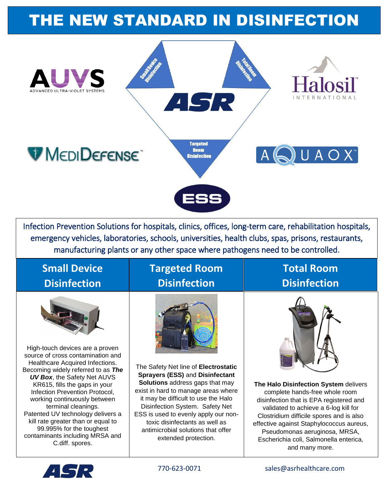# THE NEW STANDARD IN DISINFECTION



Infection Prevention Solutions for hospitals, clinics, offices, long-term care, rehabilitation hospitals, emergency vehicles, laboratories, schools, universities, health clubs, spas, prisons, restaurants, manufacturing plants or any other space where pathogens need to be controlled.

#### **Small Device Disinfection**



High-touch devices are a proven source of cross contamination and Healthcare Acquired Infections. Becoming widely referred to as *The UV Box*, the Safety Net AUVS KR615, fills the gaps in your Infection Prevention Protocol, working continuously between terminal cleanings. Patented UV technology delivers a kill rate greater than or equal to 99.995% for the toughest contaminants including MRSA and C.diff. spores.

#### **Targeted Room Disinfection**



The Safety Net line of **Electrostatic Sprayers (ESS)** and **Disinfectant Solutions** address gaps that may exist in hard to manage areas where it may be difficult to use the Halo Disinfection System. Safety Net ESS is used to evenly apply our nontoxic disinfectants as well as antimicrobial solutions that offer extended protection.

#### **Total Room Disinfection**



**The Halo Disinfection System** delivers complete hands-free whole room disinfection that is EPA registered and validated to achieve a 6-log kill for Clostridium difficile spores and is also effective against Staphylococcus aureus, Pseudomonas aeruginosa, MRSA, Escherichia coli, Salmonella enterica, and many more.